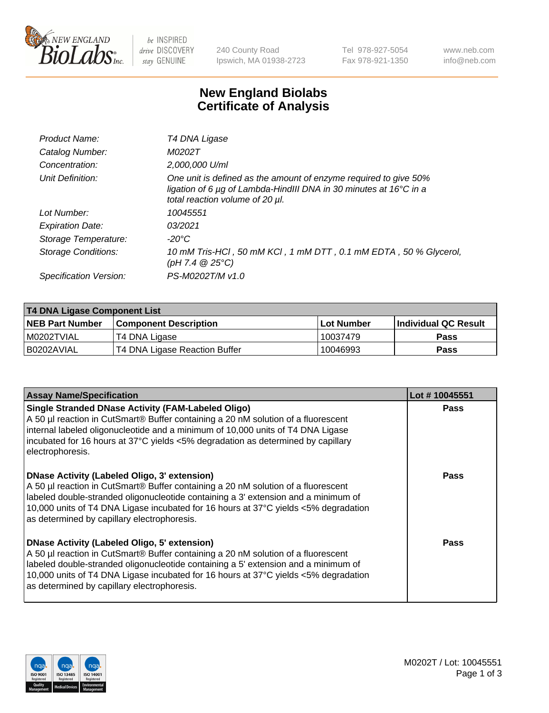

be INSPIRED drive DISCOVERY stay GENUINE

240 County Road Ipswich, MA 01938-2723 Tel 978-927-5054 Fax 978-921-1350 www.neb.com info@neb.com

## **New England Biolabs Certificate of Analysis**

| T4 DNA Ligase                                                                                                                                                            |
|--------------------------------------------------------------------------------------------------------------------------------------------------------------------------|
| M0202T                                                                                                                                                                   |
| 2,000,000 U/ml                                                                                                                                                           |
| One unit is defined as the amount of enzyme required to give 50%<br>ligation of 6 µg of Lambda-HindIII DNA in 30 minutes at 16°C in a<br>total reaction volume of 20 µl. |
| 10045551                                                                                                                                                                 |
| 03/2021                                                                                                                                                                  |
| -20°C                                                                                                                                                                    |
| 10 mM Tris-HCl, 50 mM KCl, 1 mM DTT, 0.1 mM EDTA, 50 % Glycerol,<br>$(pH 7.4 \ @ 25^{\circ}\text{C})$                                                                    |
| PS-M0202T/M v1.0                                                                                                                                                         |
|                                                                                                                                                                          |

| T4 DNA Ligase Component List |                               |              |                             |  |
|------------------------------|-------------------------------|--------------|-----------------------------|--|
| <b>NEB Part Number</b>       | <b>Component Description</b>  | l Lot Number | <b>Individual QC Result</b> |  |
| I M0202TVIAL                 | T4 DNA Ligase                 | 10037479     | <b>Pass</b>                 |  |
| I B0202AVIAL                 | T4 DNA Ligase Reaction Buffer | 10046993     | <b>Pass</b>                 |  |

| <b>Assay Name/Specification</b>                                                                                                                                                                                                                                                                                                                                      | Lot #10045551 |
|----------------------------------------------------------------------------------------------------------------------------------------------------------------------------------------------------------------------------------------------------------------------------------------------------------------------------------------------------------------------|---------------|
| <b>Single Stranded DNase Activity (FAM-Labeled Oligo)</b><br>A 50 µl reaction in CutSmart® Buffer containing a 20 nM solution of a fluorescent<br>internal labeled oligonucleotide and a minimum of 10,000 units of T4 DNA Ligase<br>incubated for 16 hours at 37°C yields <5% degradation as determined by capillary<br>electrophoresis.                            | <b>Pass</b>   |
| DNase Activity (Labeled Oligo, 3' extension)<br>A 50 µl reaction in CutSmart® Buffer containing a 20 nM solution of a fluorescent<br>labeled double-stranded oligonucleotide containing a 3' extension and a minimum of<br>10,000 units of T4 DNA Ligase incubated for 16 hours at 37°C yields <5% degradation<br>as determined by capillary electrophoresis.        | <b>Pass</b>   |
| <b>DNase Activity (Labeled Oligo, 5' extension)</b><br>A 50 µl reaction in CutSmart® Buffer containing a 20 nM solution of a fluorescent<br>labeled double-stranded oligonucleotide containing a 5' extension and a minimum of<br>10,000 units of T4 DNA Ligase incubated for 16 hours at 37°C yields <5% degradation<br>as determined by capillary electrophoresis. | <b>Pass</b>   |

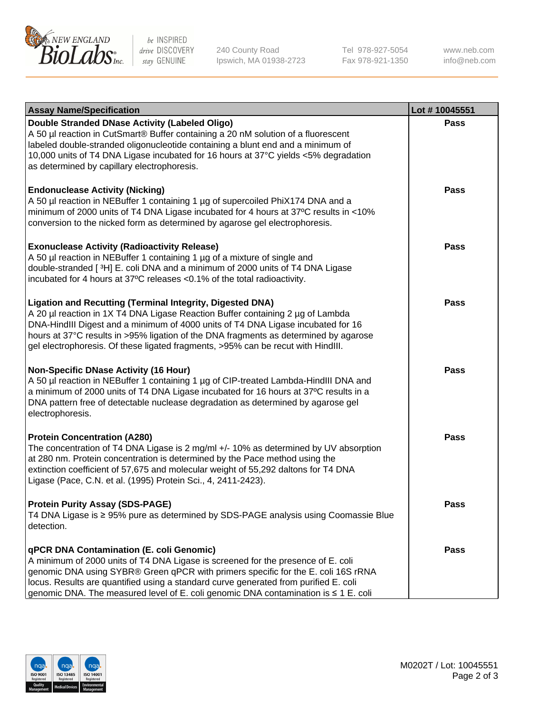

be INSPIRED drive DISCOVERY stay GENUINE

240 County Road Ipswich, MA 01938-2723 Tel 978-927-5054 Fax 978-921-1350

www.neb.com info@neb.com

| <b>Assay Name/Specification</b>                                                                                                                                                                                                                                                                                                                                                                                    | Lot #10045551 |
|--------------------------------------------------------------------------------------------------------------------------------------------------------------------------------------------------------------------------------------------------------------------------------------------------------------------------------------------------------------------------------------------------------------------|---------------|
| Double Stranded DNase Activity (Labeled Oligo)<br>A 50 µl reaction in CutSmart® Buffer containing a 20 nM solution of a fluorescent<br>labeled double-stranded oligonucleotide containing a blunt end and a minimum of<br>10,000 units of T4 DNA Ligase incubated for 16 hours at 37°C yields <5% degradation<br>as determined by capillary electrophoresis.                                                       | <b>Pass</b>   |
| <b>Endonuclease Activity (Nicking)</b><br>A 50 µl reaction in NEBuffer 1 containing 1 µg of supercoiled PhiX174 DNA and a<br>minimum of 2000 units of T4 DNA Ligase incubated for 4 hours at 37°C results in <10%<br>conversion to the nicked form as determined by agarose gel electrophoresis.                                                                                                                   | <b>Pass</b>   |
| <b>Exonuclease Activity (Radioactivity Release)</b><br>A 50 µl reaction in NEBuffer 1 containing 1 µg of a mixture of single and<br>double-stranded [3H] E. coli DNA and a minimum of 2000 units of T4 DNA Ligase<br>incubated for 4 hours at 37°C releases <0.1% of the total radioactivity.                                                                                                                      | <b>Pass</b>   |
| <b>Ligation and Recutting (Terminal Integrity, Digested DNA)</b><br>A 20 µl reaction in 1X T4 DNA Ligase Reaction Buffer containing 2 µg of Lambda<br>DNA-HindIII Digest and a minimum of 4000 units of T4 DNA Ligase incubated for 16<br>hours at 37°C results in >95% ligation of the DNA fragments as determined by agarose<br>gel electrophoresis. Of these ligated fragments, >95% can be recut with HindIII. | Pass          |
| <b>Non-Specific DNase Activity (16 Hour)</b><br>A 50 µl reaction in NEBuffer 1 containing 1 µg of CIP-treated Lambda-HindIII DNA and<br>a minimum of 2000 units of T4 DNA Ligase incubated for 16 hours at 37°C results in a<br>DNA pattern free of detectable nuclease degradation as determined by agarose gel<br>electrophoresis.                                                                               | Pass          |
| <b>Protein Concentration (A280)</b><br>The concentration of T4 DNA Ligase is 2 mg/ml +/- 10% as determined by UV absorption<br>at 280 nm. Protein concentration is determined by the Pace method using the<br>extinction coefficient of 57,675 and molecular weight of 55,292 daltons for T4 DNA<br>Ligase (Pace, C.N. et al. (1995) Protein Sci., 4, 2411-2423).                                                  | <b>Pass</b>   |
| <b>Protein Purity Assay (SDS-PAGE)</b><br>T4 DNA Ligase is ≥ 95% pure as determined by SDS-PAGE analysis using Coomassie Blue<br>detection.                                                                                                                                                                                                                                                                        | <b>Pass</b>   |
| qPCR DNA Contamination (E. coli Genomic)<br>A minimum of 2000 units of T4 DNA Ligase is screened for the presence of E. coli<br>genomic DNA using SYBR® Green qPCR with primers specific for the E. coli 16S rRNA<br>locus. Results are quantified using a standard curve generated from purified E. coli<br>genomic DNA. The measured level of E. coli genomic DNA contamination is ≤ 1 E. coli                   | <b>Pass</b>   |